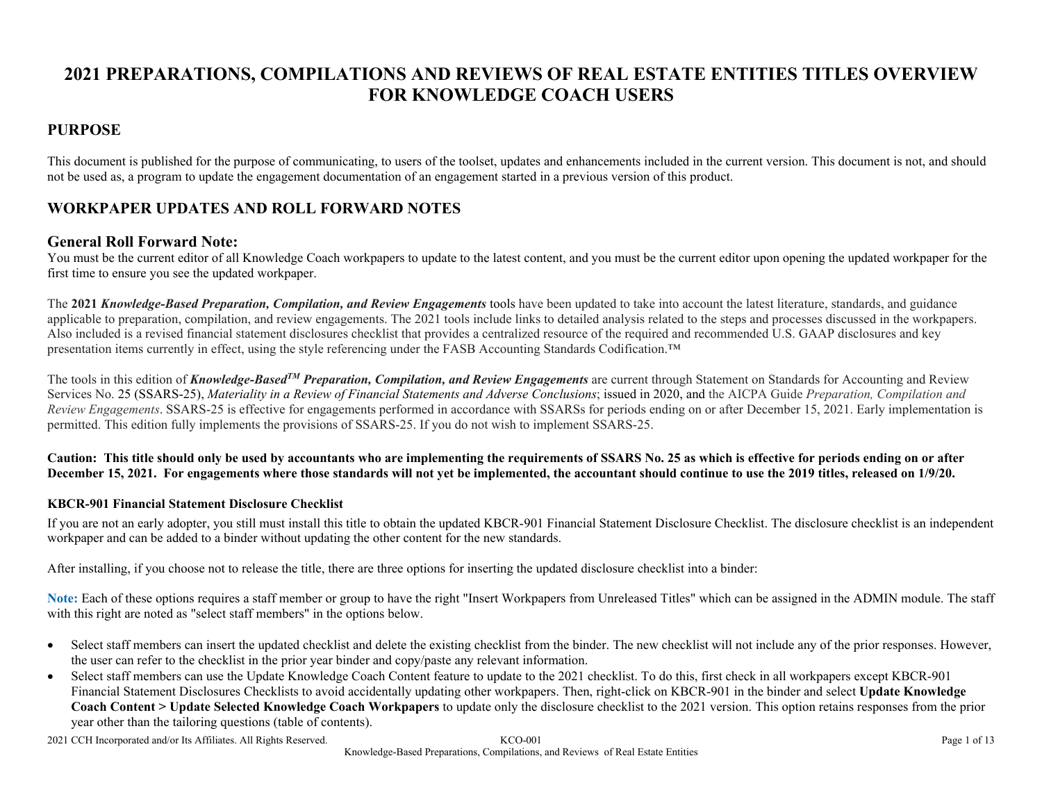# **2021 PREPARATIONS, COMPILATIONS AND REVIEWS OF REAL ESTATE ENTITIES TITLES OVERVIEW FOR KNOWLEDGE COACH USERS**

#### **PURPOSE**

This document is published for the purpose of communicating, to users of the toolset, updates and enhancements included in the current version. This document is not, and should not be used as, a program to update the engagement documentation of an engagement started in a previous version of this product.

## **WORKPAPER UPDATES AND ROLL FORWARD NOTES**

#### **General Roll Forward Note:**

You must be the current editor of all Knowledge Coach workpapers to update to the latest content, and you must be the current editor upon opening the updated workpaper for the first time to ensure you see the updated workpaper.

The **2021** *Knowledge-Based Preparation, Compilation, and Review Engagements* tools have been updated to take into account the latest literature, standards, and guidance applicable to preparation, compilation, and review engagements. The 2021 tools include links to detailed analysis related to the steps and processes discussed in the workpapers. Also included is a revised financial statement disclosures checklist that provides a centralized resource of the required and recommended U.S. GAAP disclosures and key presentation items currently in effect, using the style referencing under the FASB Accounting Standards Codification.™

The tools in this edition of *Knowledge-BasedTM Preparation, Compilation, and Review Engagements* are current through Statement on Standards for Accounting and Review Services No. 25 (SSARS-25), *Materiality in a Review of Financial Statements and Adverse Conclusions*; issued in 2020, and the AICPA Guide *Preparation, Compilation and Review Engagements*. SSARS-25 is effective for engagements performed in accordance with SSARSs for periods ending on or after December 15, 2021. Early implementation is permitted. This edition fully implements the provisions of SSARS-25. If you do not wish to implement SSARS-25.

**Caution: This title should only be used by accountants who are implementing the requirements of SSARS No. 25 as which is effective for periods ending on or after December 15, 2021. For engagements where those standards will not yet be implemented, the accountant should continue to use the 2019 titles, released on 1/9/20.**

#### **KBCR-901 Financial Statement Disclosure Checklist**

If you are not an early adopter, you still must install this title to obtain the updated KBCR-901 Financial Statement Disclosure Checklist. The disclosure checklist is an independent workpaper and can be added to a binder without updating the other content for the new standards.

After installing, if you choose not to release the title, there are three options for inserting the updated disclosure checklist into a binder:

**Note:** Each of these options requires a staff member or group to have the right "Insert Workpapers from Unreleased Titles" which can be assigned in the ADMIN module. The staff with this right are noted as "select staff members" in the options below.

- Select staff members can insert the updated checklist and delete the existing checklist from the binder. The new checklist will not include any of the prior responses. However, the user can refer to the checklist in the prior year binder and copy/paste any relevant information.
- Select staff members can use the Update Knowledge Coach Content feature to update to the 2021 checklist. To do this, first check in all workpapers except KBCR-901 Financial Statement Disclosures Checklists to avoid accidentally updating other workpapers. Then, right-click on KBCR-901 in the binder and select **Update Knowledge Coach Content > Update Selected Knowledge Coach Workpapers** to update only the disclosure checklist to the 2021 version. This option retains responses from the prior year other than the tailoring questions (table of contents).

2021 CCH Incorporated and/or Its Affiliates. All Rights Reserved. KCO-001 Page 1 of 13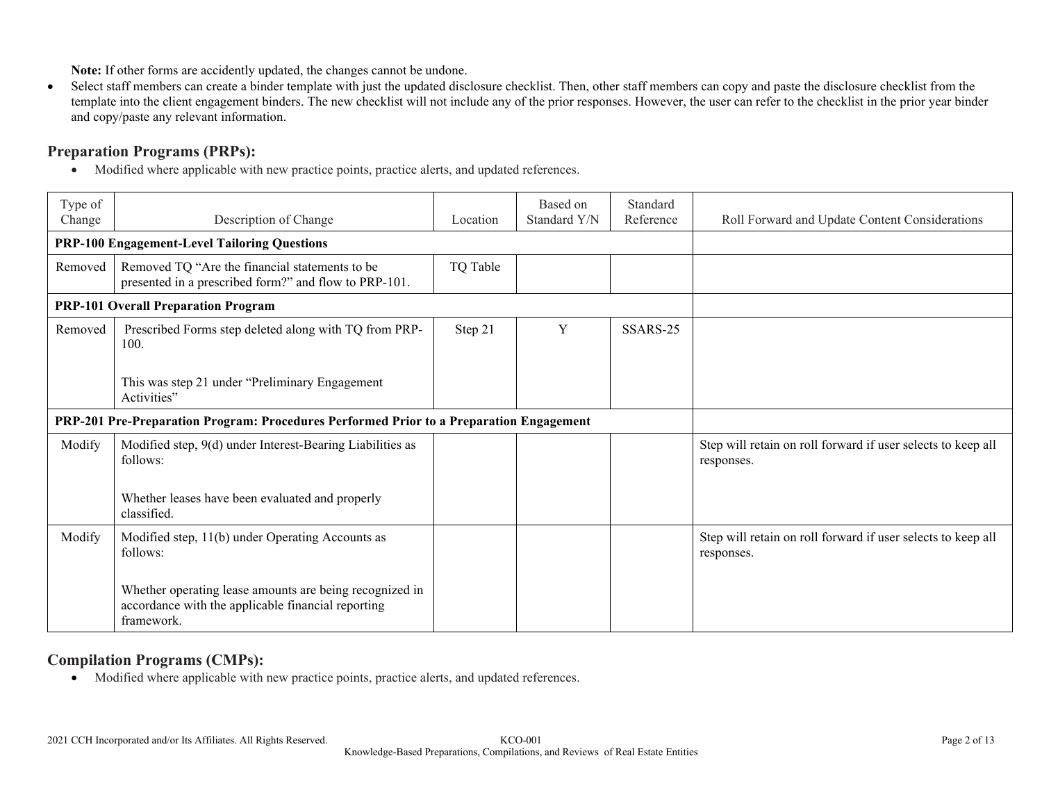**Note:** If other forms are accidently updated, the changes cannot be undone.

 Select staff members can create a binder template with just the updated disclosure checklist. Then, other staff members can copy and paste the disclosure checklist from the template into the client engagement binders. The new checklist will not include any of the prior responses. However, the user can refer to the checklist in the prior year binder and copy/paste any relevant information.

## **Preparation Programs (PRPs):**

Modified where applicable with new practice points, practice alerts, and updated references.

| Type of<br>Change                                   | Description of Change                                                                                                       | Location | Based on<br>Standard Y/N | Standard<br>Reference | Roll Forward and Update Content Considerations                             |
|-----------------------------------------------------|-----------------------------------------------------------------------------------------------------------------------------|----------|--------------------------|-----------------------|----------------------------------------------------------------------------|
| <b>PRP-100 Engagement-Level Tailoring Questions</b> |                                                                                                                             |          |                          |                       |                                                                            |
| Removed                                             | Removed TQ "Are the financial statements to be<br>presented in a prescribed form?" and flow to PRP-101.                     | TQ Table |                          |                       |                                                                            |
|                                                     | <b>PRP-101 Overall Preparation Program</b>                                                                                  |          |                          |                       |                                                                            |
| Removed                                             | Prescribed Forms step deleted along with TQ from PRP-<br>100.                                                               | Step 21  | Y                        | SSARS-25              |                                                                            |
|                                                     | This was step 21 under "Preliminary Engagement<br>Activities"                                                               |          |                          |                       |                                                                            |
|                                                     | PRP-201 Pre-Preparation Program: Procedures Performed Prior to a Preparation Engagement                                     |          |                          |                       |                                                                            |
| Modify                                              | Modified step, 9(d) under Interest-Bearing Liabilities as<br>follows:                                                       |          |                          |                       | Step will retain on roll forward if user selects to keep all<br>responses. |
|                                                     | Whether leases have been evaluated and properly<br>classified.                                                              |          |                          |                       |                                                                            |
| Modify                                              | Modified step, 11(b) under Operating Accounts as<br>follows:                                                                |          |                          |                       | Step will retain on roll forward if user selects to keep all<br>responses. |
|                                                     | Whether operating lease amounts are being recognized in<br>accordance with the applicable financial reporting<br>framework. |          |                          |                       |                                                                            |

#### **Compilation Programs (CMPs):**

Modified where applicable with new practice points, practice alerts, and updated references.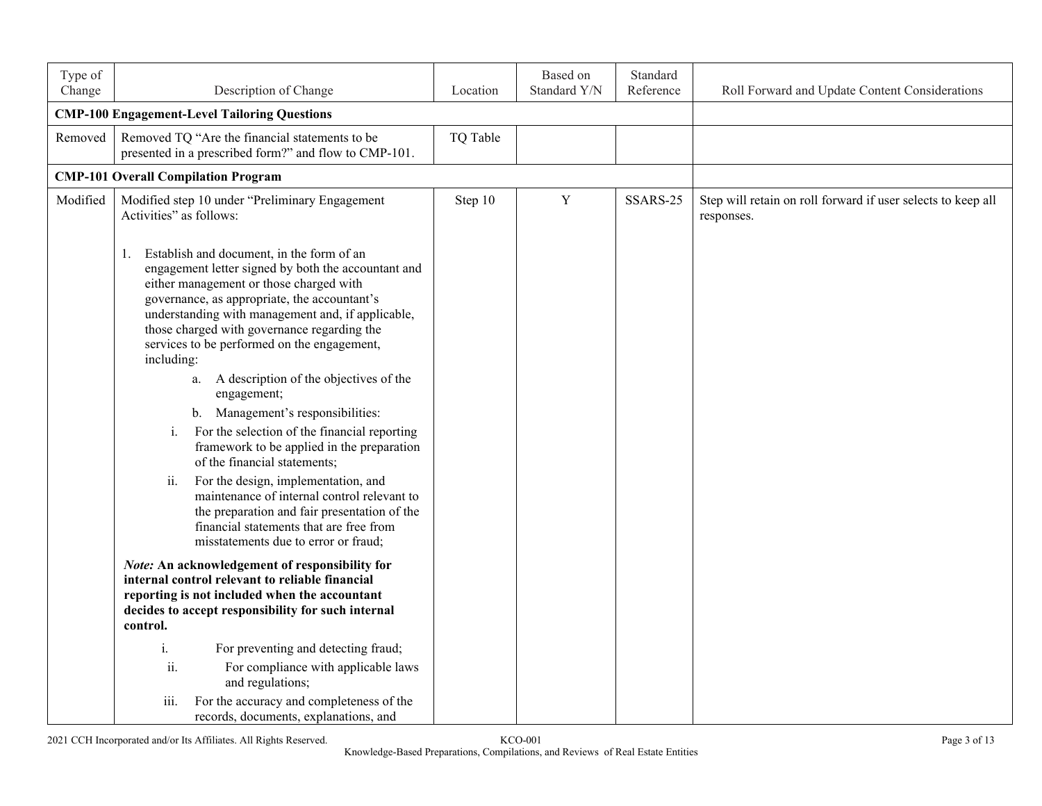| Type of<br>Change | Description of Change                                                                                                                                                                                                                                                                                                                                              | Location | Based on<br>Standard Y/N | Standard<br>Reference | Roll Forward and Update Content Considerations                             |
|-------------------|--------------------------------------------------------------------------------------------------------------------------------------------------------------------------------------------------------------------------------------------------------------------------------------------------------------------------------------------------------------------|----------|--------------------------|-----------------------|----------------------------------------------------------------------------|
|                   | <b>CMP-100 Engagement-Level Tailoring Questions</b>                                                                                                                                                                                                                                                                                                                |          |                          |                       |                                                                            |
| Removed           | Removed TQ "Are the financial statements to be<br>presented in a prescribed form?" and flow to CMP-101.                                                                                                                                                                                                                                                            | TQ Table |                          |                       |                                                                            |
|                   | <b>CMP-101 Overall Compilation Program</b>                                                                                                                                                                                                                                                                                                                         |          |                          |                       |                                                                            |
| Modified          | Modified step 10 under "Preliminary Engagement<br>Activities" as follows:                                                                                                                                                                                                                                                                                          | Step 10  | $\mathbf Y$              | SSARS-25              | Step will retain on roll forward if user selects to keep all<br>responses. |
|                   | Establish and document, in the form of an<br>1.<br>engagement letter signed by both the accountant and<br>either management or those charged with<br>governance, as appropriate, the accountant's<br>understanding with management and, if applicable,<br>those charged with governance regarding the<br>services to be performed on the engagement,<br>including: |          |                          |                       |                                                                            |
|                   | a. A description of the objectives of the<br>engagement;<br>b. Management's responsibilities:                                                                                                                                                                                                                                                                      |          |                          |                       |                                                                            |
|                   | For the selection of the financial reporting<br>i.<br>framework to be applied in the preparation<br>of the financial statements;                                                                                                                                                                                                                                   |          |                          |                       |                                                                            |
|                   | ii.<br>For the design, implementation, and<br>maintenance of internal control relevant to<br>the preparation and fair presentation of the<br>financial statements that are free from<br>misstatements due to error or fraud;                                                                                                                                       |          |                          |                       |                                                                            |
|                   | <b>Note:</b> An acknowledgement of responsibility for<br>internal control relevant to reliable financial<br>reporting is not included when the accountant<br>decides to accept responsibility for such internal<br>control.                                                                                                                                        |          |                          |                       |                                                                            |
|                   | For preventing and detecting fraud;<br>i.<br>ii.<br>For compliance with applicable laws<br>and regulations;                                                                                                                                                                                                                                                        |          |                          |                       |                                                                            |
|                   | iii.<br>For the accuracy and completeness of the<br>records, documents, explanations, and                                                                                                                                                                                                                                                                          |          |                          |                       |                                                                            |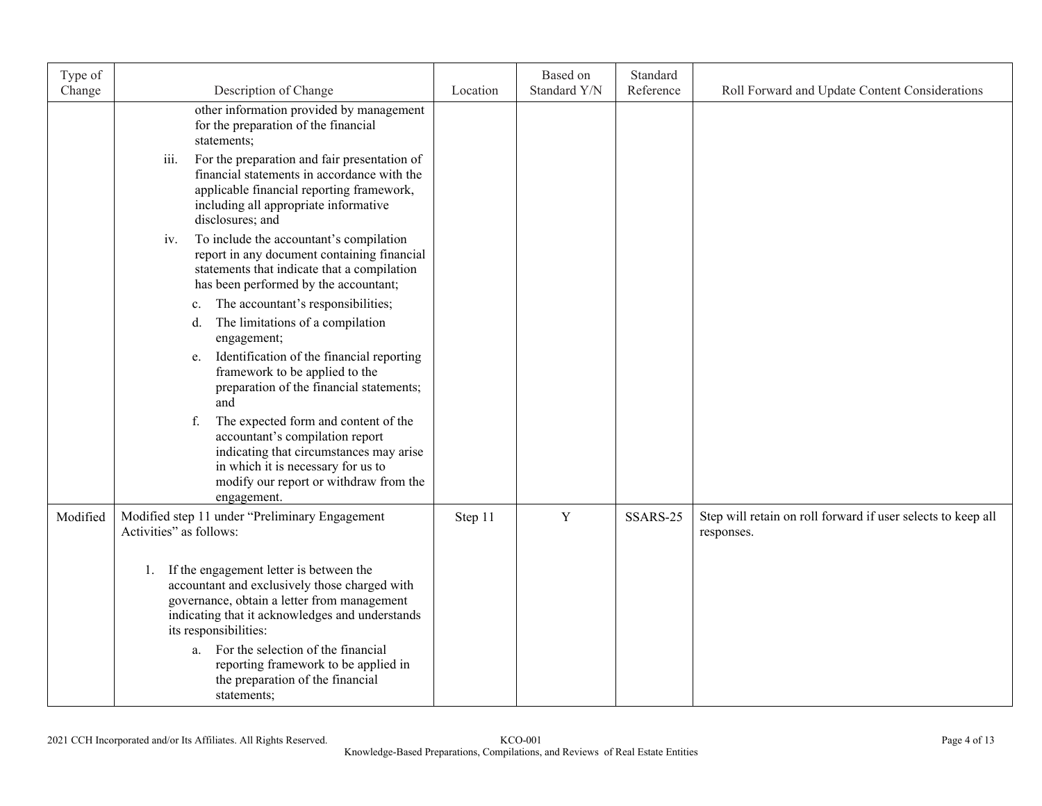| Type of<br>Change | Description of Change                                                                                                                                                                                                                                                                                                                                            |          | Based on<br>Standard Y/N | Standard<br>Reference |                                                                            |
|-------------------|------------------------------------------------------------------------------------------------------------------------------------------------------------------------------------------------------------------------------------------------------------------------------------------------------------------------------------------------------------------|----------|--------------------------|-----------------------|----------------------------------------------------------------------------|
|                   |                                                                                                                                                                                                                                                                                                                                                                  | Location |                          |                       | Roll Forward and Update Content Considerations                             |
|                   | other information provided by management<br>for the preparation of the financial<br>statements;                                                                                                                                                                                                                                                                  |          |                          |                       |                                                                            |
|                   | iii.<br>For the preparation and fair presentation of<br>financial statements in accordance with the<br>applicable financial reporting framework,<br>including all appropriate informative<br>disclosures; and                                                                                                                                                    |          |                          |                       |                                                                            |
|                   | To include the accountant's compilation<br>iv.<br>report in any document containing financial<br>statements that indicate that a compilation<br>has been performed by the accountant;                                                                                                                                                                            |          |                          |                       |                                                                            |
|                   | The accountant's responsibilities;<br>c.<br>The limitations of a compilation<br>d.<br>engagement;                                                                                                                                                                                                                                                                |          |                          |                       |                                                                            |
|                   | Identification of the financial reporting<br>e.<br>framework to be applied to the<br>preparation of the financial statements;<br>and                                                                                                                                                                                                                             |          |                          |                       |                                                                            |
|                   | The expected form and content of the<br>f.<br>accountant's compilation report<br>indicating that circumstances may arise<br>in which it is necessary for us to<br>modify our report or withdraw from the<br>engagement.                                                                                                                                          |          |                          |                       |                                                                            |
| Modified          | Modified step 11 under "Preliminary Engagement<br>Activities" as follows:                                                                                                                                                                                                                                                                                        | Step 11  | $\mathbf Y$              | SSARS-25              | Step will retain on roll forward if user selects to keep all<br>responses. |
|                   | If the engagement letter is between the<br>1.<br>accountant and exclusively those charged with<br>governance, obtain a letter from management<br>indicating that it acknowledges and understands<br>its responsibilities:<br>For the selection of the financial<br>a.<br>reporting framework to be applied in<br>the preparation of the financial<br>statements; |          |                          |                       |                                                                            |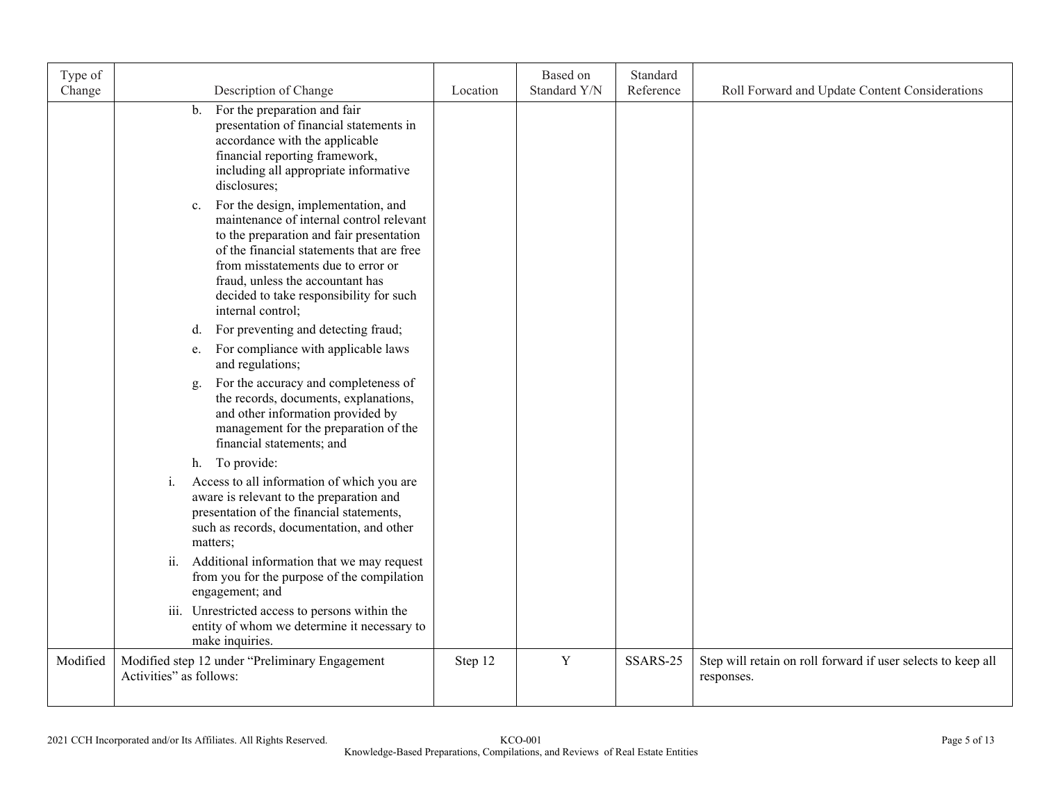| Type of<br>Change | Description of Change                                                                                                                                                                                                                                                                                                    | Location | Based on<br>Standard Y/N | Standard<br>Reference | Roll Forward and Update Content Considerations                             |
|-------------------|--------------------------------------------------------------------------------------------------------------------------------------------------------------------------------------------------------------------------------------------------------------------------------------------------------------------------|----------|--------------------------|-----------------------|----------------------------------------------------------------------------|
|                   | For the preparation and fair<br>$\mathbf{b}$ .<br>presentation of financial statements in<br>accordance with the applicable<br>financial reporting framework,<br>including all appropriate informative<br>disclosures;                                                                                                   |          |                          |                       |                                                                            |
|                   | For the design, implementation, and<br>c.<br>maintenance of internal control relevant<br>to the preparation and fair presentation<br>of the financial statements that are free<br>from misstatements due to error or<br>fraud, unless the accountant has<br>decided to take responsibility for such<br>internal control; |          |                          |                       |                                                                            |
|                   | For preventing and detecting fraud;<br>d.<br>For compliance with applicable laws<br>e.                                                                                                                                                                                                                                   |          |                          |                       |                                                                            |
|                   | and regulations;<br>For the accuracy and completeness of<br>g.<br>the records, documents, explanations,<br>and other information provided by<br>management for the preparation of the<br>financial statements; and                                                                                                       |          |                          |                       |                                                                            |
|                   | h. To provide:                                                                                                                                                                                                                                                                                                           |          |                          |                       |                                                                            |
|                   | Access to all information of which you are<br>i.<br>aware is relevant to the preparation and<br>presentation of the financial statements,<br>such as records, documentation, and other<br>matters;                                                                                                                       |          |                          |                       |                                                                            |
|                   | Additional information that we may request<br>ii.<br>from you for the purpose of the compilation<br>engagement; and                                                                                                                                                                                                      |          |                          |                       |                                                                            |
|                   | iii. Unrestricted access to persons within the<br>entity of whom we determine it necessary to<br>make inquiries.                                                                                                                                                                                                         |          |                          |                       |                                                                            |
| Modified          | Modified step 12 under "Preliminary Engagement<br>Activities" as follows:                                                                                                                                                                                                                                                | Step 12  | $\mathbf Y$              | SSARS-25              | Step will retain on roll forward if user selects to keep all<br>responses. |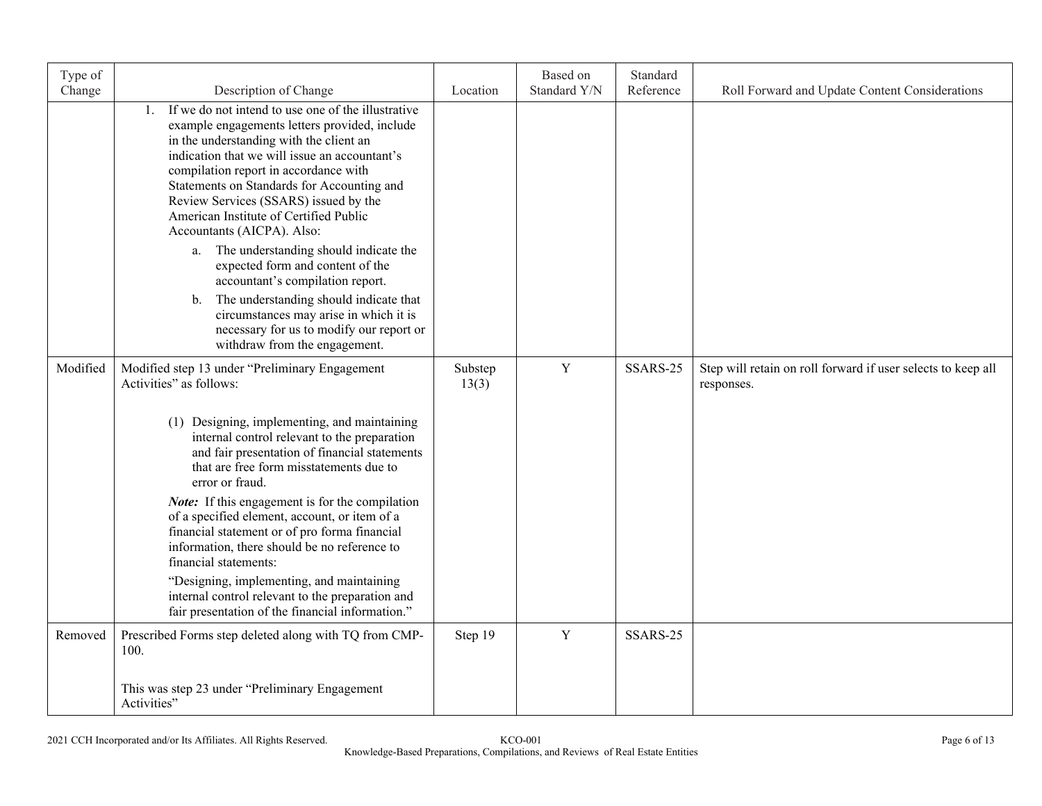| Type of<br>Change | Description of Change                                                                                                                                                                                                                                                                                                                                                                                                     | Location         | Based on<br>Standard Y/N | Standard<br>Reference | Roll Forward and Update Content Considerations                             |
|-------------------|---------------------------------------------------------------------------------------------------------------------------------------------------------------------------------------------------------------------------------------------------------------------------------------------------------------------------------------------------------------------------------------------------------------------------|------------------|--------------------------|-----------------------|----------------------------------------------------------------------------|
|                   | If we do not intend to use one of the illustrative<br>$\mathbf{1}$ .<br>example engagements letters provided, include<br>in the understanding with the client an<br>indication that we will issue an accountant's<br>compilation report in accordance with<br>Statements on Standards for Accounting and<br>Review Services (SSARS) issued by the<br>American Institute of Certified Public<br>Accountants (AICPA). Also: |                  |                          |                       |                                                                            |
|                   | a. The understanding should indicate the<br>expected form and content of the<br>accountant's compilation report.                                                                                                                                                                                                                                                                                                          |                  |                          |                       |                                                                            |
|                   | The understanding should indicate that<br>b.<br>circumstances may arise in which it is<br>necessary for us to modify our report or<br>withdraw from the engagement.                                                                                                                                                                                                                                                       |                  |                          |                       |                                                                            |
| Modified          | Modified step 13 under "Preliminary Engagement<br>Activities" as follows:                                                                                                                                                                                                                                                                                                                                                 | Substep<br>13(3) | $\mathbf Y$              | SSARS-25              | Step will retain on roll forward if user selects to keep all<br>responses. |
|                   | (1) Designing, implementing, and maintaining<br>internal control relevant to the preparation<br>and fair presentation of financial statements<br>that are free form misstatements due to<br>error or fraud.                                                                                                                                                                                                               |                  |                          |                       |                                                                            |
|                   | Note: If this engagement is for the compilation<br>of a specified element, account, or item of a<br>financial statement or of pro forma financial<br>information, there should be no reference to<br>financial statements:                                                                                                                                                                                                |                  |                          |                       |                                                                            |
|                   | "Designing, implementing, and maintaining<br>internal control relevant to the preparation and<br>fair presentation of the financial information."                                                                                                                                                                                                                                                                         |                  |                          |                       |                                                                            |
| Removed           | Prescribed Forms step deleted along with TQ from CMP-<br>100.                                                                                                                                                                                                                                                                                                                                                             | Step 19          | Y                        | SSARS-25              |                                                                            |
|                   | This was step 23 under "Preliminary Engagement<br>Activities"                                                                                                                                                                                                                                                                                                                                                             |                  |                          |                       |                                                                            |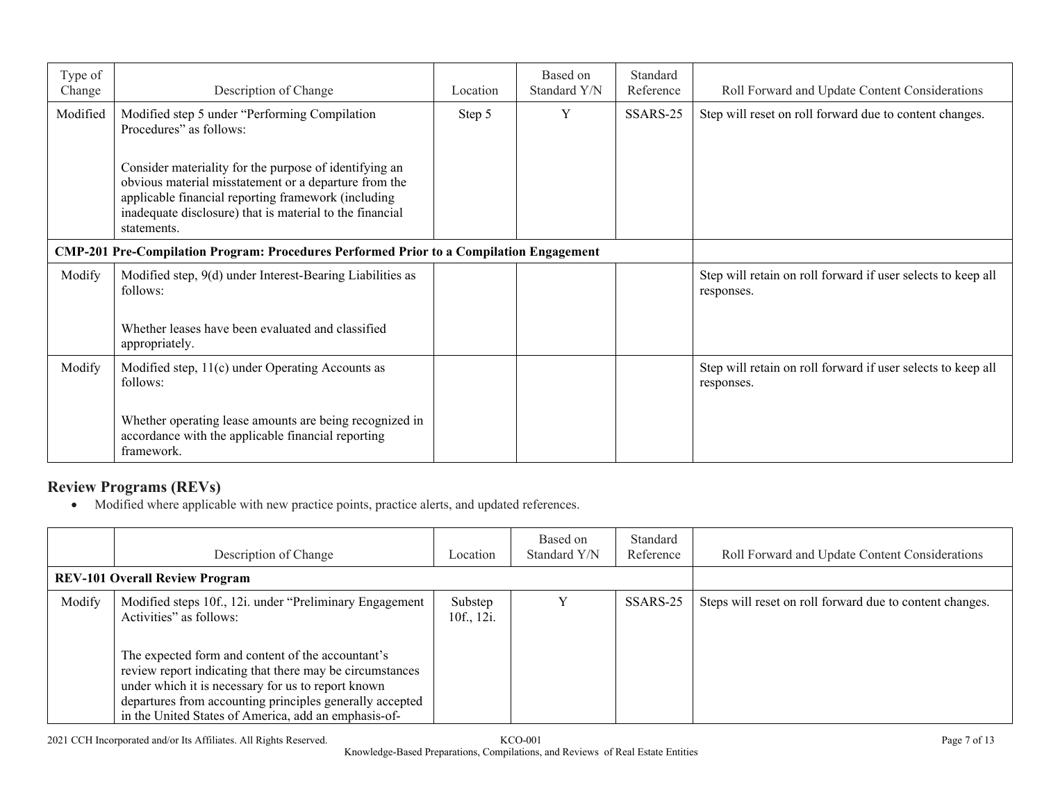| Type of<br>Change | Description of Change                                                                                                                                                                                                                             | Location | Based on<br>Standard Y/N | Standard<br>Reference | Roll Forward and Update Content Considerations                             |
|-------------------|---------------------------------------------------------------------------------------------------------------------------------------------------------------------------------------------------------------------------------------------------|----------|--------------------------|-----------------------|----------------------------------------------------------------------------|
| Modified          | Modified step 5 under "Performing Compilation<br>Procedures" as follows:                                                                                                                                                                          | Step 5   | Y                        | SSARS-25              | Step will reset on roll forward due to content changes.                    |
|                   | Consider materiality for the purpose of identifying an<br>obvious material misstatement or a departure from the<br>applicable financial reporting framework (including<br>inadequate disclosure) that is material to the financial<br>statements. |          |                          |                       |                                                                            |
|                   | CMP-201 Pre-Compilation Program: Procedures Performed Prior to a Compilation Engagement                                                                                                                                                           |          |                          |                       |                                                                            |
| Modify            | Modified step, 9(d) under Interest-Bearing Liabilities as<br>follows:                                                                                                                                                                             |          |                          |                       | Step will retain on roll forward if user selects to keep all<br>responses. |
|                   | Whether leases have been evaluated and classified<br>appropriately.                                                                                                                                                                               |          |                          |                       |                                                                            |
| Modify            | Modified step, 11(c) under Operating Accounts as<br>follows:                                                                                                                                                                                      |          |                          |                       | Step will retain on roll forward if user selects to keep all<br>responses. |
|                   | Whether operating lease amounts are being recognized in<br>accordance with the applicable financial reporting<br>framework.                                                                                                                       |          |                          |                       |                                                                            |

# **Review Programs (REVs)**

Modified where applicable with new practice points, practice alerts, and updated references.

|        | Description of Change                                                                                                                                                                                                                                                                                                                                                          | Location              | Based on<br>Standard Y/N | Standard<br>Reference | Roll Forward and Update Content Considerations           |
|--------|--------------------------------------------------------------------------------------------------------------------------------------------------------------------------------------------------------------------------------------------------------------------------------------------------------------------------------------------------------------------------------|-----------------------|--------------------------|-----------------------|----------------------------------------------------------|
|        | <b>REV-101 Overall Review Program</b>                                                                                                                                                                                                                                                                                                                                          |                       |                          |                       |                                                          |
| Modify | Modified steps 10f., 12i. under "Preliminary Engagement"<br>Activities" as follows:<br>The expected form and content of the accountant's<br>review report indicating that there may be circumstances<br>under which it is necessary for us to report known<br>departures from accounting principles generally accepted<br>in the United States of America, add an emphasis-of- | Substep<br>10f., 12i. |                          | SSARS-25              | Steps will reset on roll forward due to content changes. |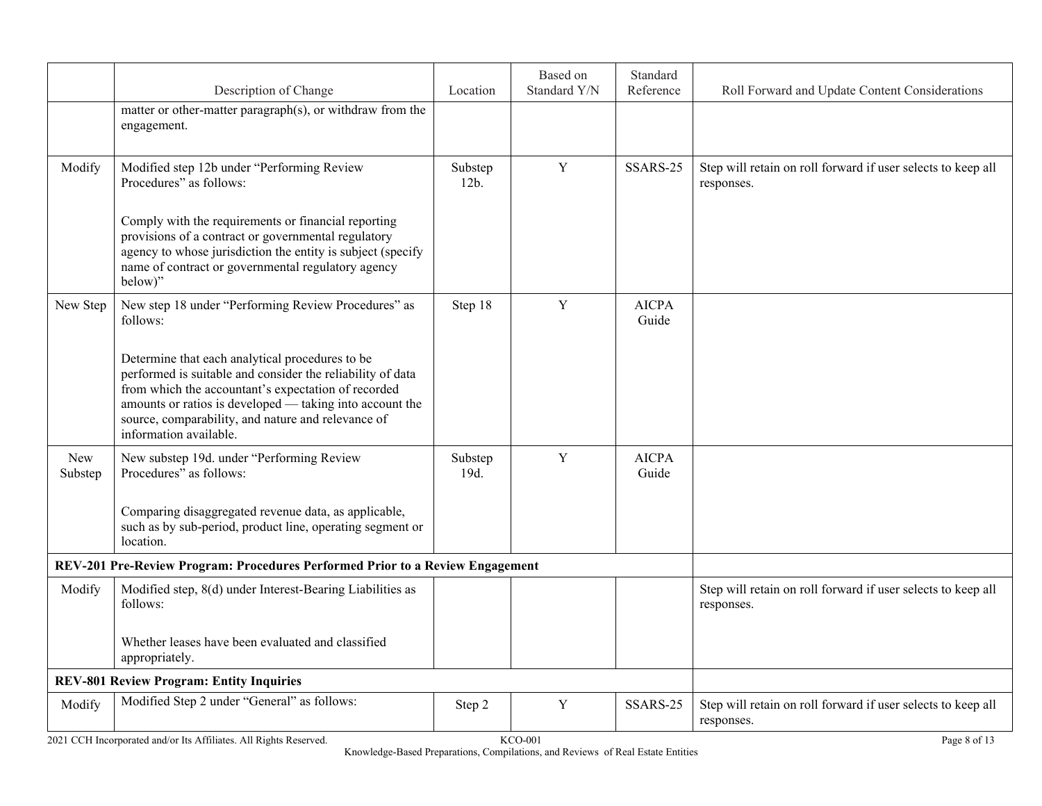|                       | Description of Change                                                                                                                                                                                                                                                                                            | Location           | Based on<br>Standard Y/N | Standard<br>Reference | Roll Forward and Update Content Considerations                             |
|-----------------------|------------------------------------------------------------------------------------------------------------------------------------------------------------------------------------------------------------------------------------------------------------------------------------------------------------------|--------------------|--------------------------|-----------------------|----------------------------------------------------------------------------|
|                       | matter or other-matter paragraph(s), or withdraw from the<br>engagement.                                                                                                                                                                                                                                         |                    |                          |                       |                                                                            |
| Modify                | Modified step 12b under "Performing Review<br>Procedures" as follows:                                                                                                                                                                                                                                            | Substep<br>$12b$ . | Y                        | SSARS-25              | Step will retain on roll forward if user selects to keep all<br>responses. |
|                       | Comply with the requirements or financial reporting<br>provisions of a contract or governmental regulatory<br>agency to whose jurisdiction the entity is subject (specify<br>name of contract or governmental regulatory agency<br>below)"                                                                       |                    |                          |                       |                                                                            |
| New Step              | New step 18 under "Performing Review Procedures" as<br>follows:                                                                                                                                                                                                                                                  | Step 18            | $\mathbf Y$              | <b>AICPA</b><br>Guide |                                                                            |
|                       | Determine that each analytical procedures to be<br>performed is suitable and consider the reliability of data<br>from which the accountant's expectation of recorded<br>amounts or ratios is developed — taking into account the<br>source, comparability, and nature and relevance of<br>information available. |                    |                          |                       |                                                                            |
| <b>New</b><br>Substep | New substep 19d. under "Performing Review<br>Procedures" as follows:                                                                                                                                                                                                                                             | Substep<br>19d.    | Y                        | <b>AICPA</b><br>Guide |                                                                            |
|                       | Comparing disaggregated revenue data, as applicable,<br>such as by sub-period, product line, operating segment or<br>location.                                                                                                                                                                                   |                    |                          |                       |                                                                            |
|                       | REV-201 Pre-Review Program: Procedures Performed Prior to a Review Engagement                                                                                                                                                                                                                                    |                    |                          |                       |                                                                            |
| Modify                | Modified step, 8(d) under Interest-Bearing Liabilities as<br>follows:                                                                                                                                                                                                                                            |                    |                          |                       | Step will retain on roll forward if user selects to keep all<br>responses. |
|                       | Whether leases have been evaluated and classified<br>appropriately.                                                                                                                                                                                                                                              |                    |                          |                       |                                                                            |
|                       | <b>REV-801 Review Program: Entity Inquiries</b>                                                                                                                                                                                                                                                                  |                    |                          |                       |                                                                            |
| Modify                | Modified Step 2 under "General" as follows:                                                                                                                                                                                                                                                                      | Step 2             | $\mathbf Y$              | SSARS-25              | Step will retain on roll forward if user selects to keep all<br>responses. |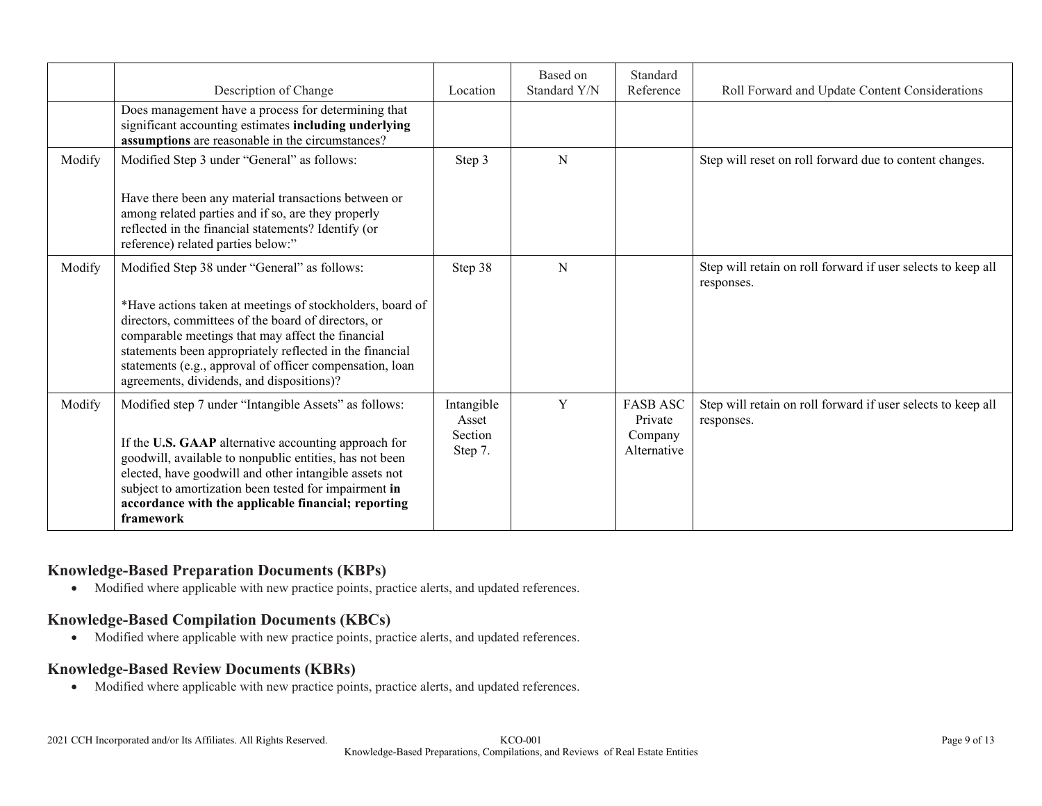|        | Description of Change                                                                                                                                                                                                                                                                                                                                           | Location                                  | Based on<br>Standard Y/N | Standard<br>Reference                                | Roll Forward and Update Content Considerations                             |
|--------|-----------------------------------------------------------------------------------------------------------------------------------------------------------------------------------------------------------------------------------------------------------------------------------------------------------------------------------------------------------------|-------------------------------------------|--------------------------|------------------------------------------------------|----------------------------------------------------------------------------|
|        | Does management have a process for determining that<br>significant accounting estimates including underlying<br>assumptions are reasonable in the circumstances?                                                                                                                                                                                                |                                           |                          |                                                      |                                                                            |
| Modify | Modified Step 3 under "General" as follows:                                                                                                                                                                                                                                                                                                                     | Step 3                                    | N                        |                                                      | Step will reset on roll forward due to content changes.                    |
|        | Have there been any material transactions between or<br>among related parties and if so, are they properly<br>reflected in the financial statements? Identify (or<br>reference) related parties below:"                                                                                                                                                         |                                           |                          |                                                      |                                                                            |
| Modify | Modified Step 38 under "General" as follows:                                                                                                                                                                                                                                                                                                                    | Step 38                                   | N                        |                                                      | Step will retain on roll forward if user selects to keep all<br>responses. |
|        | *Have actions taken at meetings of stockholders, board of<br>directors, committees of the board of directors, or<br>comparable meetings that may affect the financial<br>statements been appropriately reflected in the financial<br>statements (e.g., approval of officer compensation, loan<br>agreements, dividends, and dispositions)?                      |                                           |                          |                                                      |                                                                            |
| Modify | Modified step 7 under "Intangible Assets" as follows:<br>If the U.S. GAAP alternative accounting approach for<br>goodwill, available to nonpublic entities, has not been<br>elected, have goodwill and other intangible assets not<br>subject to amortization been tested for impairment in<br>accordance with the applicable financial; reporting<br>framework | Intangible<br>Asset<br>Section<br>Step 7. | Y                        | <b>FASB ASC</b><br>Private<br>Company<br>Alternative | Step will retain on roll forward if user selects to keep all<br>responses. |

## **Knowledge-Based Preparation Documents (KBPs)**

Modified where applicable with new practice points, practice alerts, and updated references.

#### **Knowledge-Based Compilation Documents (KBCs)**

Modified where applicable with new practice points, practice alerts, and updated references.

#### **Knowledge-Based Review Documents (KBRs)**

Modified where applicable with new practice points, practice alerts, and updated references.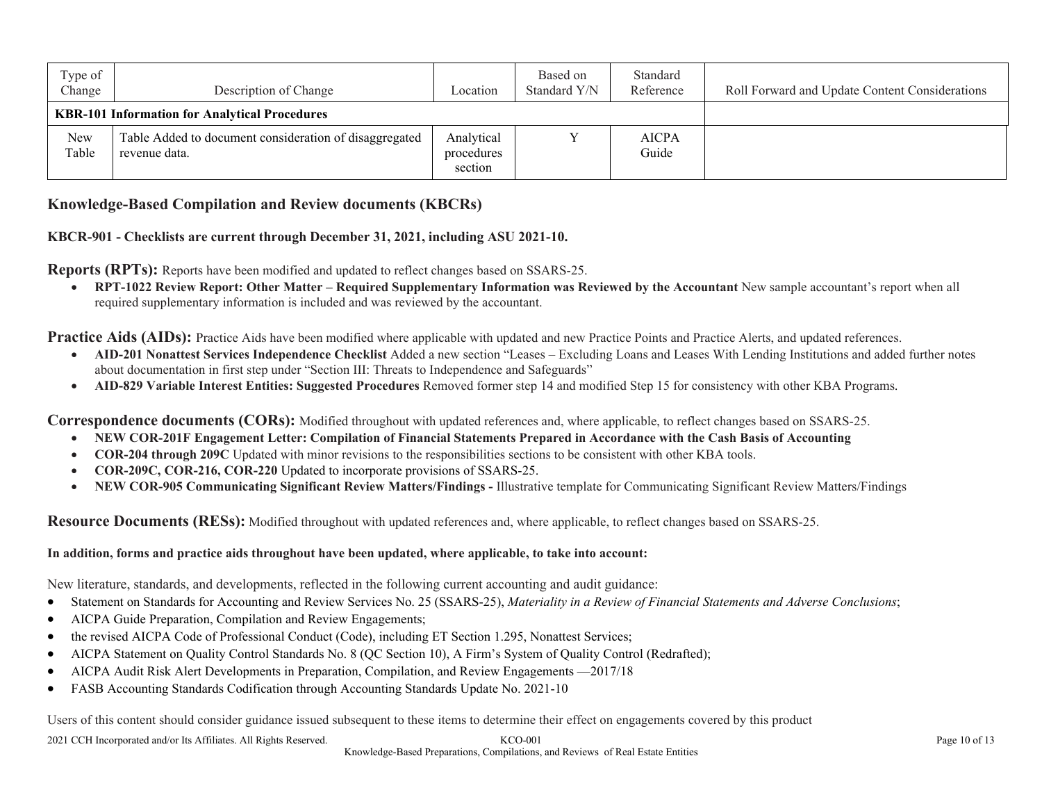| Type of<br>Change | Description of Change                                                   | Location                            | Based on<br>Standard Y/N | Standard<br>Reference | Roll Forward and Update Content Considerations |
|-------------------|-------------------------------------------------------------------------|-------------------------------------|--------------------------|-----------------------|------------------------------------------------|
|                   | <b>KBR-101 Information for Analytical Procedures</b>                    |                                     |                          |                       |                                                |
| New<br>Table      | Table Added to document consideration of disaggregated<br>revenue data. | Analytical<br>procedures<br>section |                          | <b>AICPA</b><br>Guide |                                                |

#### **Knowledge-Based Compilation and Review documents (KBCRs)**

#### **KBCR-901 - Checklists are current through December 31, 2021, including ASU 2021-10.**

**Reports (RPTs):** Reports have been modified and updated to reflect changes based on SSARS-25.

 **RPT-1022 Review Report: Other Matter – Required Supplementary Information was Reviewed by the Accountant** New sample accountant's report when all required supplementary information is included and was reviewed by the accountant.

**Practice Aids (AIDs):** Practice Aids have been modified where applicable with updated and new Practice Points and Practice Alerts, and updated references.

- **AID-201 Nonattest Services Independence Checklist** Added a new section "Leases Excluding Loans and Leases With Lending Institutions and added further notes about documentation in first step under "Section III: Threats to Independence and Safeguards"
- **AID-829 Variable Interest Entities: Suggested Procedures** Removed former step 14 and modified Step 15 for consistency with other KBA Programs.

**Correspondence documents (CORs):** Modified throughout with updated references and, where applicable, to reflect changes based on SSARS-25.

- **NEW COR-201F Engagement Letter: Compilation of Financial Statements Prepared in Accordance with the Cash Basis of Accounting**
- **COR-204 through 209C** Updated with minor revisions to the responsibilities sections to be consistent with other KBA tools.
- **COR-209C, COR-216, COR-220** Updated to incorporate provisions of SSARS-25.
- **NEW COR-905 Communicating Significant Review Matters/Findings -** Illustrative template for Communicating Significant Review Matters/Findings

**Resource Documents (RESs):** Modified throughout with updated references and, where applicable, to reflect changes based on SSARS-25.

#### **In addition, forms and practice aids throughout have been updated, where applicable, to take into account:**

New literature, standards, and developments, reflected in the following current accounting and audit guidance:

- Statement on Standards for Accounting and Review Services No. 25 (SSARS-25), *Materiality in a Review of Financial Statements and Adverse Conclusions*;
- AICPA Guide Preparation, Compilation and Review Engagements;
- the revised AICPA Code of Professional Conduct (Code), including ET Section 1.295, Nonattest Services;
- AICPA Statement on Quality Control Standards No. 8 (QC Section 10), A Firm's System of Quality Control (Redrafted);
- AICPA Audit Risk Alert Developments in Preparation, Compilation, and Review Engagements —2017/18
- FASB Accounting Standards Codification through Accounting Standards Update No. 2021-10

Users of this content should consider guidance issued subsequent to these items to determine their effect on engagements covered by this product

2021 CCH Incorporated and/or Its Affiliates. All Rights Reserved. KCO-001 Page 10 of 13 Knowledge-Based Preparations, Compilations, and Reviews of Real Estate Entities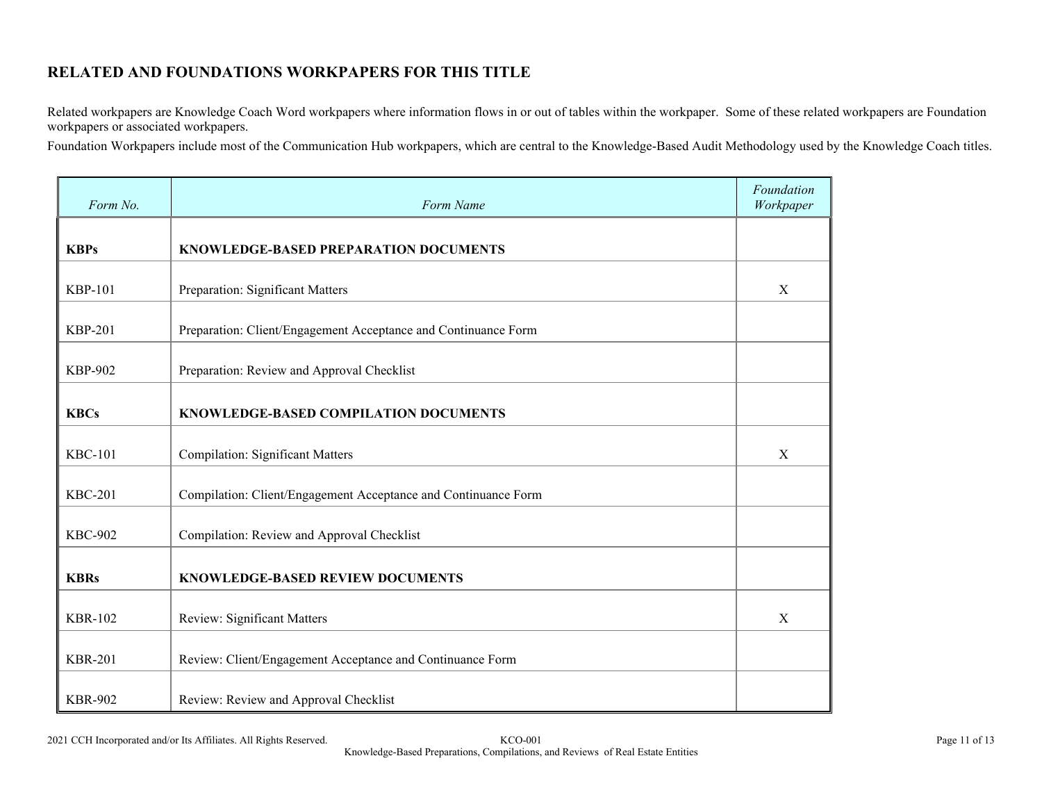# **RELATED AND FOUNDATIONS WORKPAPERS FOR THIS TITLE**

Related workpapers are Knowledge Coach Word workpapers where information flows in or out of tables within the workpaper. Some of these related workpapers are Foundation workpapers or associated workpapers.

Foundation Workpapers include most of the Communication Hub workpapers, which are central to the Knowledge-Based Audit Methodology used by the Knowledge Coach titles.

| Form No.       | Form Name                                                      | Foundation<br>Workpaper |
|----------------|----------------------------------------------------------------|-------------------------|
| <b>KBPs</b>    | KNOWLEDGE-BASED PREPARATION DOCUMENTS                          |                         |
| <b>KBP-101</b> | Preparation: Significant Matters                               | X                       |
| <b>KBP-201</b> | Preparation: Client/Engagement Acceptance and Continuance Form |                         |
| <b>KBP-902</b> | Preparation: Review and Approval Checklist                     |                         |
| <b>KBCs</b>    | KNOWLEDGE-BASED COMPILATION DOCUMENTS                          |                         |
| <b>KBC-101</b> | <b>Compilation: Significant Matters</b>                        | X                       |
| <b>KBC-201</b> | Compilation: Client/Engagement Acceptance and Continuance Form |                         |
| <b>KBC-902</b> | Compilation: Review and Approval Checklist                     |                         |
| <b>KBRs</b>    | <b>KNOWLEDGE-BASED REVIEW DOCUMENTS</b>                        |                         |
| <b>KBR-102</b> | Review: Significant Matters                                    | X                       |
| <b>KBR-201</b> | Review: Client/Engagement Acceptance and Continuance Form      |                         |
| <b>KBR-902</b> | Review: Review and Approval Checklist                          |                         |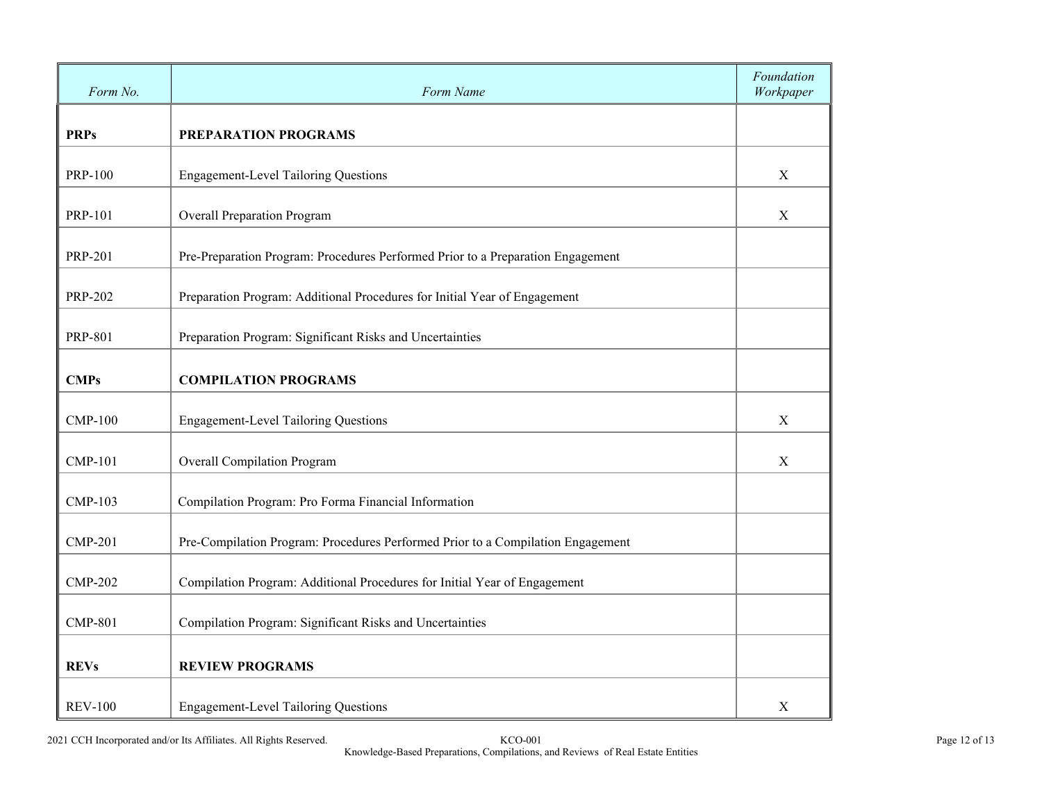| Form No.       | Form Name                                                                       | Foundation<br>Workpaper |  |  |  |
|----------------|---------------------------------------------------------------------------------|-------------------------|--|--|--|
| <b>PRPs</b>    | PREPARATION PROGRAMS                                                            |                         |  |  |  |
| <b>PRP-100</b> | <b>Engagement-Level Tailoring Questions</b>                                     | $\mathbf X$             |  |  |  |
| <b>PRP-101</b> | <b>Overall Preparation Program</b>                                              | X                       |  |  |  |
| <b>PRP-201</b> | Pre-Preparation Program: Procedures Performed Prior to a Preparation Engagement |                         |  |  |  |
| <b>PRP-202</b> | Preparation Program: Additional Procedures for Initial Year of Engagement       |                         |  |  |  |
| <b>PRP-801</b> | Preparation Program: Significant Risks and Uncertainties                        |                         |  |  |  |
| <b>CMPs</b>    | <b>COMPILATION PROGRAMS</b>                                                     |                         |  |  |  |
| <b>CMP-100</b> | <b>Engagement-Level Tailoring Questions</b>                                     | $\mathbf X$             |  |  |  |
| <b>CMP-101</b> | Overall Compilation Program                                                     | X                       |  |  |  |
| <b>CMP-103</b> | Compilation Program: Pro Forma Financial Information                            |                         |  |  |  |
| <b>CMP-201</b> | Pre-Compilation Program: Procedures Performed Prior to a Compilation Engagement |                         |  |  |  |
| <b>CMP-202</b> | Compilation Program: Additional Procedures for Initial Year of Engagement       |                         |  |  |  |
| <b>CMP-801</b> | Compilation Program: Significant Risks and Uncertainties                        |                         |  |  |  |
| <b>REVs</b>    | <b>REVIEW PROGRAMS</b>                                                          |                         |  |  |  |
| <b>REV-100</b> | <b>Engagement-Level Tailoring Questions</b>                                     | $\mathbf X$             |  |  |  |